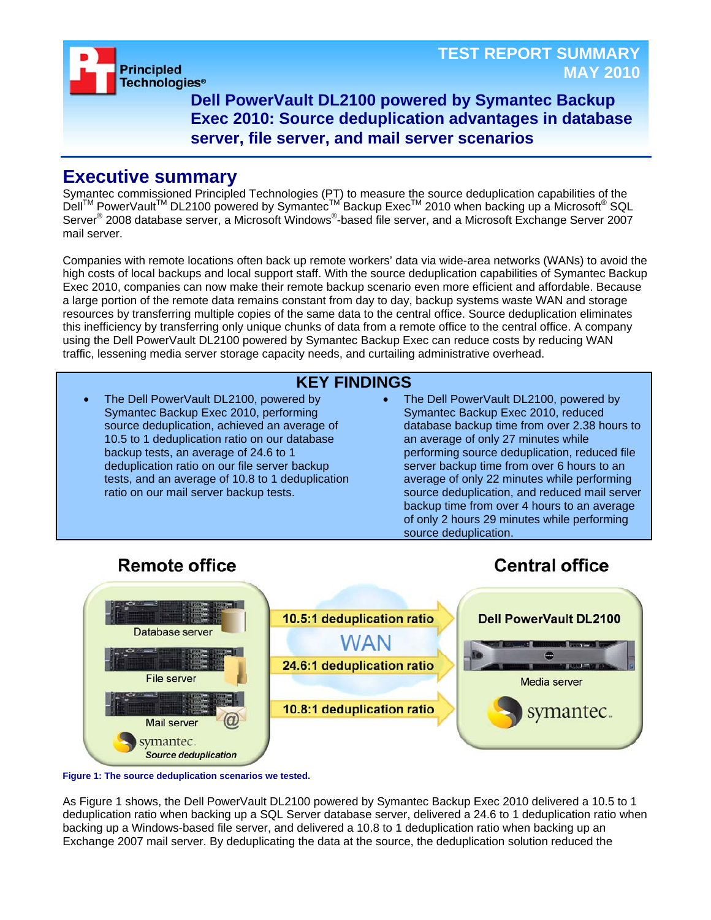**Principled Technologies®** 

**Dell PowerVault DL2100 powered by Symantec Backup Exec 2010: Source deduplication advantages in database server, file server, and mail server scenarios**

## **Executive summary**

Symantec commissioned Principled Technologies (PT) to measure the source deduplication capabilities of the Dell<sup>™</sup> PowerVault<sup>™</sup> DL2100 powered by Symantec<sup>TM'</sup> Backup Exec<sup>TM</sup> 2010 when backing up a Microsoft<sup>®</sup> SQL Server<sup>®</sup> 2008 database server, a Microsoft Windows®-based file server, and a Microsoft Exchange Server 2007 mail server.

Companies with remote locations often back up remote workers' data via wide-area networks (WANs) to avoid the high costs of local backups and local support staff. With the source deduplication capabilities of Symantec Backup Exec 2010, companies can now make their remote backup scenario even more efficient and affordable. Because a large portion of the remote data remains constant from day to day, backup systems waste WAN and storage resources by transferring multiple copies of the same data to the central office. Source deduplication eliminates this inefficiency by transferring only unique chunks of data from a remote office to the central office. A company using the Dell PowerVault DL2100 powered by Symantec Backup Exec can reduce costs by reducing WAN traffic, lessening media server storage capacity needs, and curtailing administrative overhead.

### **KEY FINDINGS**

- The Dell PowerVault DL2100, powered by Symantec Backup Exec 2010, performing source deduplication, achieved an average of 10.5 to 1 deduplication ratio on our database backup tests, an average of 24.6 to 1 deduplication ratio on our file server backup tests, and an average of 10.8 to 1 deduplication ratio on our mail server backup tests.
- The Dell PowerVault DL2100, powered by Symantec Backup Exec 2010, reduced database backup time from over 2.38 hours to an average of only 27 minutes while performing source deduplication, reduced file server backup time from over 6 hours to an average of only 22 minutes while performing source deduplication, and reduced mail server backup time from over 4 hours to an average of only 2 hours 29 minutes while performing source deduplication.

**Central office** 

# **Remote office**



**Figure 1: The source deduplication scenarios we tested.** 

As Figure 1 shows, the Dell PowerVault DL2100 powered by Symantec Backup Exec 2010 delivered a 10.5 to 1 deduplication ratio when backing up a SQL Server database server, delivered a 24.6 to 1 deduplication ratio when backing up a Windows-based file server, and delivered a 10.8 to 1 deduplication ratio when backing up an Exchange 2007 mail server. By deduplicating the data at the source, the deduplication solution reduced the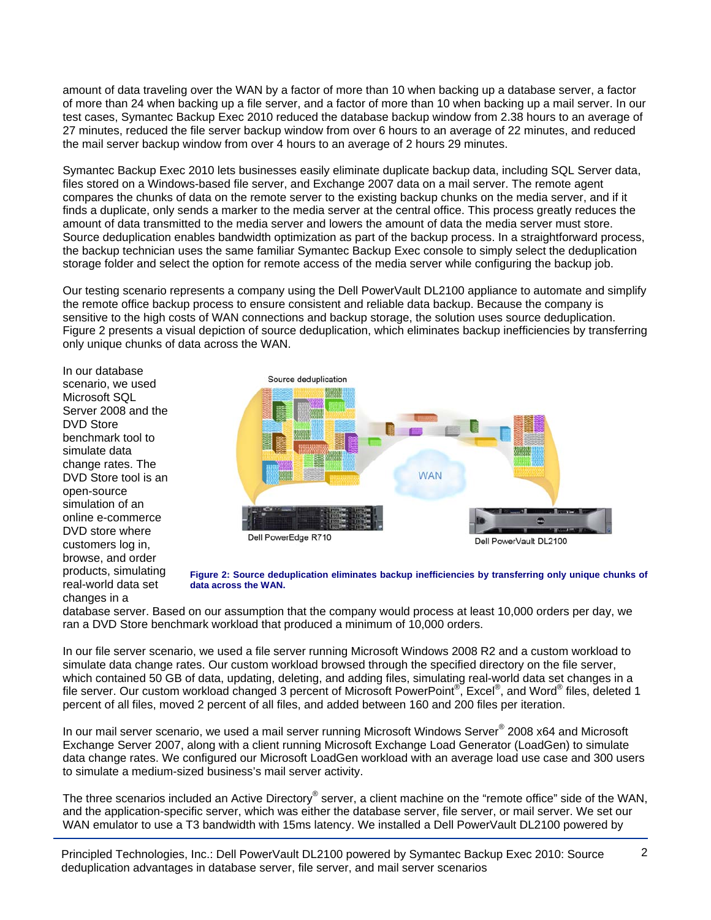amount of data traveling over the WAN by a factor of more than 10 when backing up a database server, a factor of more than 24 when backing up a file server, and a factor of more than 10 when backing up a mail server. In our test cases, Symantec Backup Exec 2010 reduced the database backup window from 2.38 hours to an average of 27 minutes, reduced the file server backup window from over 6 hours to an average of 22 minutes, and reduced the mail server backup window from over 4 hours to an average of 2 hours 29 minutes.

Symantec Backup Exec 2010 lets businesses easily eliminate duplicate backup data, including SQL Server data, files stored on a Windows-based file server, and Exchange 2007 data on a mail server. The remote agent compares the chunks of data on the remote server to the existing backup chunks on the media server, and if it finds a duplicate, only sends a marker to the media server at the central office. This process greatly reduces the amount of data transmitted to the media server and lowers the amount of data the media server must store. Source deduplication enables bandwidth optimization as part of the backup process. In a straightforward process, the backup technician uses the same familiar Symantec Backup Exec console to simply select the deduplication storage folder and select the option for remote access of the media server while configuring the backup job.

Our testing scenario represents a company using the Dell PowerVault DL2100 appliance to automate and simplify the remote office backup process to ensure consistent and reliable data backup. Because the company is sensitive to the high costs of WAN connections and backup storage, the solution uses source deduplication. Figure 2 presents a visual depiction of source deduplication, which eliminates backup inefficiencies by transferring only unique chunks of data across the WAN.

In our database scenario, we used Microsoft SQL Server 2008 and the DVD Store benchmark tool to simulate data change rates. The DVD Store tool is an open-source simulation of an online e-commerce DVD store where customers log in, browse, and order products, simulating real-world data set changes in a



**Figure 2: Source deduplication eliminates backup inefficiencies by transferring only unique chunks of data across the WAN.** 

database server. Based on our assumption that the company would process at least 10,000 orders per day, we ran a DVD Store benchmark workload that produced a minimum of 10,000 orders.

In our file server scenario, we used a file server running Microsoft Windows 2008 R2 and a custom workload to simulate data change rates. Our custom workload browsed through the specified directory on the file server, which contained 50 GB of data, updating, deleting, and adding files, simulating real-world data set changes in a file server. Our custom workload changed 3 percent of Microsoft PowerPoint®, Excel®, and Word® files, deleted 1 percent of all files, moved 2 percent of all files, and added between 160 and 200 files per iteration.

In our mail server scenario, we used a mail server running Microsoft Windows Server® 2008 x64 and Microsoft Exchange Server 2007, along with a client running Microsoft Exchange Load Generator (LoadGen) to simulate data change rates. We configured our Microsoft LoadGen workload with an average load use case and 300 users to simulate a medium-sized business's mail server activity.

The three scenarios included an Active Directory® server, a client machine on the "remote office" side of the WAN, and the application-specific server, which was either the database server, file server, or mail server. We set our WAN emulator to use a T3 bandwidth with 15ms latency. We installed a Dell PowerVault DL2100 powered by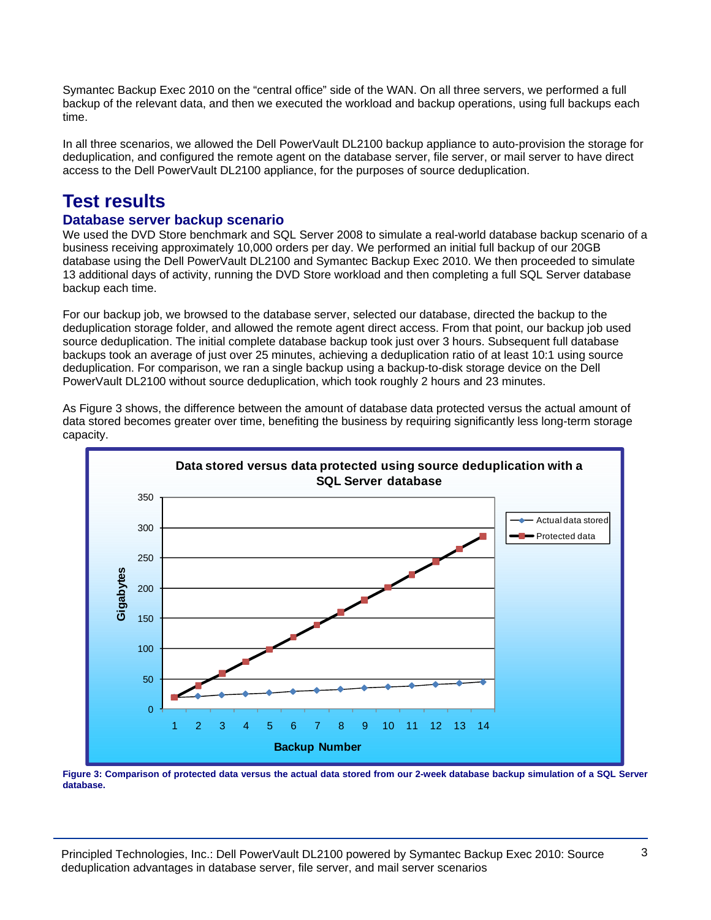Symantec Backup Exec 2010 on the "central office" side of the WAN. On all three servers, we performed a full backup of the relevant data, and then we executed the workload and backup operations, using full backups each time.

In all three scenarios, we allowed the Dell PowerVault DL2100 backup appliance to auto-provision the storage for deduplication, and configured the remote agent on the database server, file server, or mail server to have direct access to the Dell PowerVault DL2100 appliance, for the purposes of source deduplication.

### **Test results**

### **Database server backup scenario**

We used the DVD Store benchmark and SQL Server 2008 to simulate a real-world database backup scenario of a business receiving approximately 10,000 orders per day. We performed an initial full backup of our 20GB database using the Dell PowerVault DL2100 and Symantec Backup Exec 2010. We then proceeded to simulate 13 additional days of activity, running the DVD Store workload and then completing a full SQL Server database backup each time.

For our backup job, we browsed to the database server, selected our database, directed the backup to the deduplication storage folder, and allowed the remote agent direct access. From that point, our backup job used source deduplication. The initial complete database backup took just over 3 hours. Subsequent full database backups took an average of just over 25 minutes, achieving a deduplication ratio of at least 10:1 using source deduplication. For comparison, we ran a single backup using a backup-to-disk storage device on the Dell PowerVault DL2100 without source deduplication, which took roughly 2 hours and 23 minutes.

**Data stored versus data protected using source deduplication with a SQL Server database** 350 Actual data stored 300 Protected data 250 Gigabytes **Gigabytes** 200 150 100 50  $\overline{0}$ 1 2 3 4 5 6 7 8 9 10 11 12 13 14 **Backup Number**

As Figure 3 shows, the difference between the amount of database data protected versus the actual amount of data stored becomes greater over time, benefiting the business by requiring significantly less long-term storage capacity.

**Figure 3: Comparison of protected data versus the actual data stored from our 2-week database backup simulation of a SQL Server database.**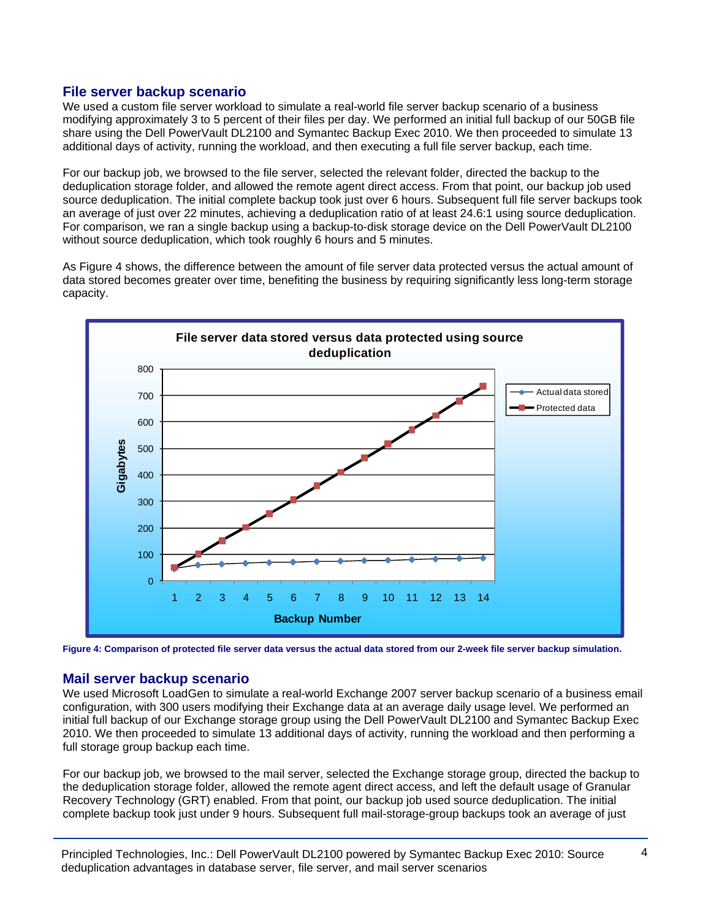### **File server backup scenario**

We used a custom file server workload to simulate a real-world file server backup scenario of a business modifying approximately 3 to 5 percent of their files per day. We performed an initial full backup of our 50GB file share using the Dell PowerVault DL2100 and Symantec Backup Exec 2010. We then proceeded to simulate 13 additional days of activity, running the workload, and then executing a full file server backup, each time.

For our backup job, we browsed to the file server, selected the relevant folder, directed the backup to the deduplication storage folder, and allowed the remote agent direct access. From that point, our backup job used source deduplication. The initial complete backup took just over 6 hours. Subsequent full file server backups took an average of just over 22 minutes, achieving a deduplication ratio of at least 24.6:1 using source deduplication. For comparison, we ran a single backup using a backup-to-disk storage device on the Dell PowerVault DL2100 without source deduplication, which took roughly 6 hours and 5 minutes.

As Figure 4 shows, the difference between the amount of file server data protected versus the actual amount of data stored becomes greater over time, benefiting the business by requiring significantly less long-term storage capacity.



**Figure 4: Comparison of protected file server data versus the actual data stored from our 2-week file server backup simulation.**

#### **Mail server backup scenario**

We used Microsoft LoadGen to simulate a real-world Exchange 2007 server backup scenario of a business email configuration, with 300 users modifying their Exchange data at an average daily usage level. We performed an initial full backup of our Exchange storage group using the Dell PowerVault DL2100 and Symantec Backup Exec 2010. We then proceeded to simulate 13 additional days of activity, running the workload and then performing a full storage group backup each time.

For our backup job, we browsed to the mail server, selected the Exchange storage group, directed the backup to the deduplication storage folder, allowed the remote agent direct access, and left the default usage of Granular Recovery Technology (GRT) enabled. From that point, our backup job used source deduplication. The initial complete backup took just under 9 hours. Subsequent full mail-storage-group backups took an average of just